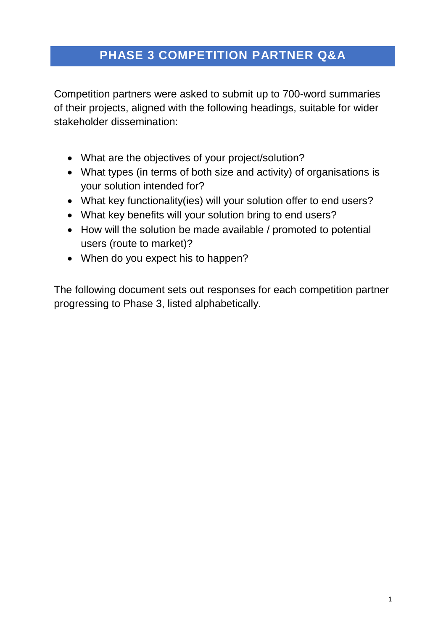# **PHASE 3 COMPETITION PARTNER Q&A**

Competition partners were asked to submit up to 700-word summaries of their projects, aligned with the following headings, suitable for wider stakeholder dissemination:

- What are the objectives of your project/solution?
- What types (in terms of both size and activity) of organisations is your solution intended for?
- What key functionality(ies) will your solution offer to end users?
- What key benefits will your solution bring to end users?
- How will the solution be made available / promoted to potential users (route to market)?
- When do you expect his to happen?

The following document sets out responses for each competition partner progressing to Phase 3, listed alphabetically.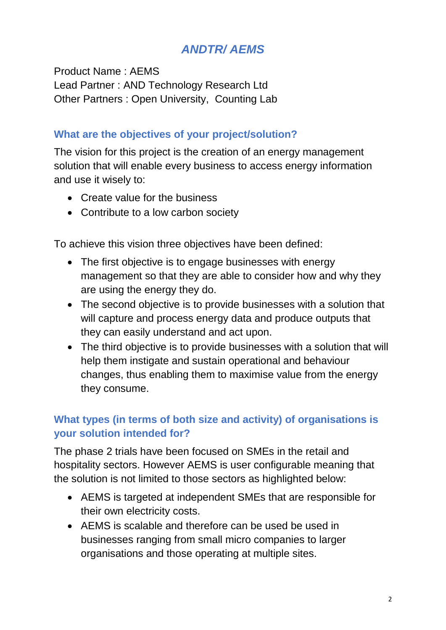# *ANDTR/ AEMS*

Product Name : AEMS Lead Partner : AND Technology Research Ltd Other Partners : Open University, Counting Lab

#### **What are the objectives of your project/solution?**

The vision for this project is the creation of an energy management solution that will enable every business to access energy information and use it wisely to:

- Create value for the business
- Contribute to a low carbon society

To achieve this vision three objectives have been defined:

- The first objective is to engage businesses with energy management so that they are able to consider how and why they are using the energy they do.
- The second objective is to provide businesses with a solution that will capture and process energy data and produce outputs that they can easily understand and act upon.
- The third objective is to provide businesses with a solution that will help them instigate and sustain operational and behaviour changes, thus enabling them to maximise value from the energy they consume.

## **What types (in terms of both size and activity) of organisations is your solution intended for?**

The phase 2 trials have been focused on SMEs in the retail and hospitality sectors. However AEMS is user configurable meaning that the solution is not limited to those sectors as highlighted below:

- AEMS is targeted at independent SMEs that are responsible for their own electricity costs.
- AEMS is scalable and therefore can be used be used in businesses ranging from small micro companies to larger organisations and those operating at multiple sites.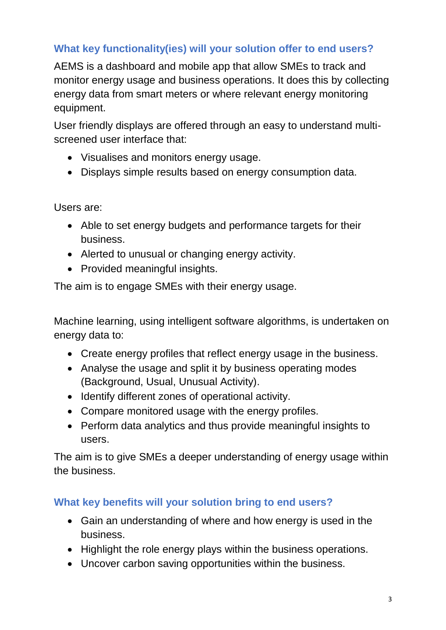## **What key functionality(ies) will your solution offer to end users?**

AEMS is a dashboard and mobile app that allow SMEs to track and monitor energy usage and business operations. It does this by collecting energy data from smart meters or where relevant energy monitoring equipment.

User friendly displays are offered through an easy to understand multiscreened user interface that:

- Visualises and monitors energy usage.
- Displays simple results based on energy consumption data.

Users are:

- Able to set energy budgets and performance targets for their business.
- Alerted to unusual or changing energy activity.
- Provided meaningful insights.

The aim is to engage SMEs with their energy usage.

Machine learning, using intelligent software algorithms, is undertaken on energy data to:

- Create energy profiles that reflect energy usage in the business.
- Analyse the usage and split it by business operating modes (Background, Usual, Unusual Activity).
- Identify different zones of operational activity.
- Compare monitored usage with the energy profiles.
- Perform data analytics and thus provide meaningful insights to users.

The aim is to give SMEs a deeper understanding of energy usage within the business.

#### **What key benefits will your solution bring to end users?**

- Gain an understanding of where and how energy is used in the business.
- Highlight the role energy plays within the business operations.
- Uncover carbon saving opportunities within the business.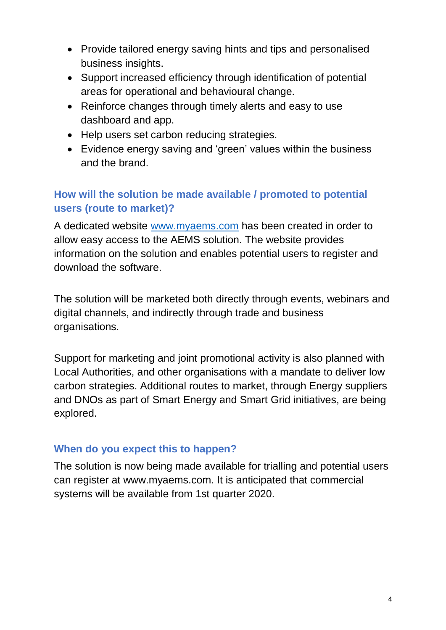- Provide tailored energy saving hints and tips and personalised business insights.
- Support increased efficiency through identification of potential areas for operational and behavioural change.
- Reinforce changes through timely alerts and easy to use dashboard and app.
- Help users set carbon reducing strategies.
- Evidence energy saving and 'green' values within the business and the brand.

## **How will the solution be made available / promoted to potential users (route to market)?**

A dedicated website [www.myaems.com](http://www.myaems.com/) has been created in order to allow easy access to the AEMS solution. The website provides information on the solution and enables potential users to register and download the software.

The solution will be marketed both directly through events, webinars and digital channels, and indirectly through trade and business organisations.

Support for marketing and joint promotional activity is also planned with Local Authorities, and other organisations with a mandate to deliver low carbon strategies. Additional routes to market, through Energy suppliers and DNOs as part of Smart Energy and Smart Grid initiatives, are being explored.

#### **When do you expect this to happen?**

The solution is now being made available for trialling and potential users can register at www.myaems.com. It is anticipated that commercial systems will be available from 1st quarter 2020.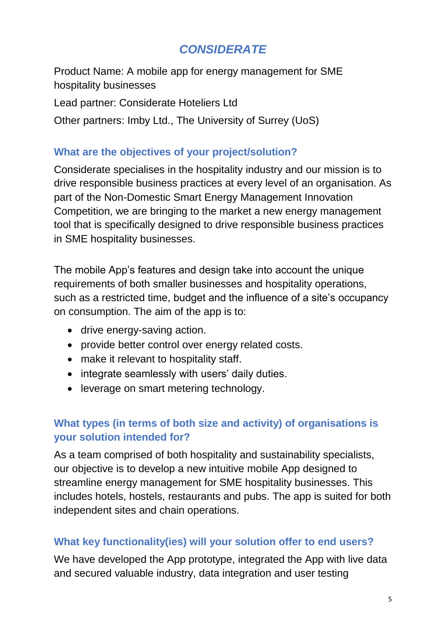# *CONSIDERATE*

Product Name: A mobile app for energy management for SME hospitality businesses

Lead partner: Considerate Hoteliers Ltd

Other partners: Imby Ltd., The University of Surrey (UoS)

#### **What are the objectives of your project/solution?**

Considerate specialises in the hospitality industry and our mission is to drive responsible business practices at every level of an organisation. As part of the Non-Domestic Smart Energy Management Innovation Competition, we are bringing to the market a new energy management tool that is specifically designed to drive responsible business practices in SME hospitality businesses.

The mobile App's features and design take into account the unique requirements of both smaller businesses and hospitality operations, such as a restricted time, budget and the influence of a site's occupancy on consumption. The aim of the app is to:

- drive energy-saving action.
- provide better control over energy related costs.
- make it relevant to hospitality staff.
- integrate seamlessly with users' daily duties.
- leverage on smart metering technology.

## **What types (in terms of both size and activity) of organisations is your solution intended for?**

As a team comprised of both hospitality and sustainability specialists, our objective is to develop a new intuitive mobile App designed to streamline energy management for SME hospitality businesses. This includes hotels, hostels, restaurants and pubs. The app is suited for both independent sites and chain operations.

#### **What key functionality(ies) will your solution offer to end users?**

We have developed the App prototype, integrated the App with live data and secured valuable industry, data integration and user testing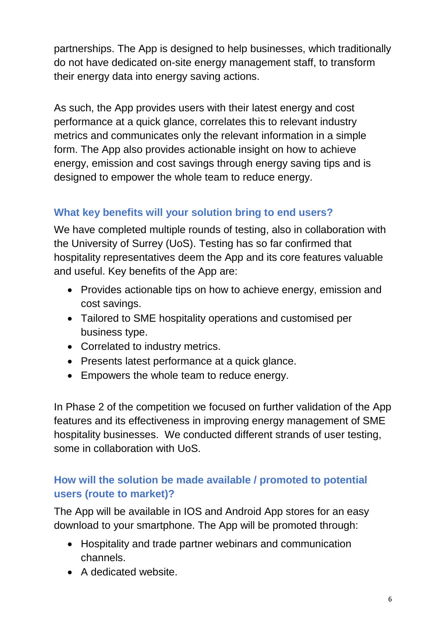partnerships. The App is designed to help businesses, which traditionally do not have dedicated on-site energy management staff, to transform their energy data into energy saving actions.

As such, the App provides users with their latest energy and cost performance at a quick glance, correlates this to relevant industry metrics and communicates only the relevant information in a simple form. The App also provides actionable insight on how to achieve energy, emission and cost savings through energy saving tips and is designed to empower the whole team to reduce energy.

# **What key benefits will your solution bring to end users?**

We have completed multiple rounds of testing, also in collaboration with the University of Surrey (UoS). Testing has so far confirmed that hospitality representatives deem the App and its core features valuable and useful. Key benefits of the App are:

- Provides actionable tips on how to achieve energy, emission and cost savings.
- Tailored to SME hospitality operations and customised per business type.
- Correlated to industry metrics.
- Presents latest performance at a quick glance.
- Empowers the whole team to reduce energy.

In Phase 2 of the competition we focused on further validation of the App features and its effectiveness in improving energy management of SME hospitality businesses. We conducted different strands of user testing, some in collaboration with UoS.

## **How will the solution be made available / promoted to potential users (route to market)?**

The App will be available in IOS and Android App stores for an easy download to your smartphone. The App will be promoted through:

- Hospitality and trade partner webinars and communication channels.
- A dedicated website.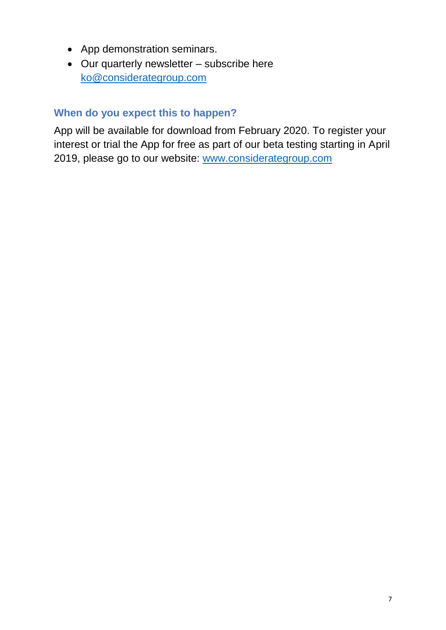- App demonstration seminars.
- Our quarterly newsletter subscribe here [ko@considerategroup.com](mailto:ko@considerategroup.com)

#### **When do you expect this to happen?**

App will be available for download from February 2020. To register your interest or trial the App for free as part of our beta testing starting in April 2019, please go to our website: [www.considerategroup.com](http://www.considerategroup.com/)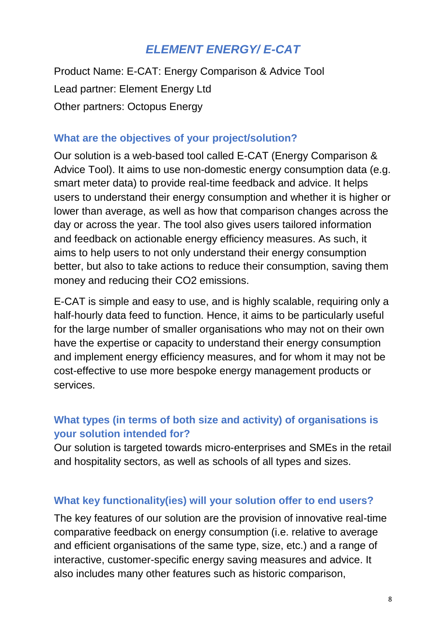# *ELEMENT ENERGY/ E-CAT*

Product Name: E-CAT: Energy Comparison & Advice Tool Lead partner: Element Energy Ltd Other partners: Octopus Energy

#### **What are the objectives of your project/solution?**

Our solution is a web-based tool called E-CAT (Energy Comparison & Advice Tool). It aims to use non-domestic energy consumption data (e.g. smart meter data) to provide real-time feedback and advice. It helps users to understand their energy consumption and whether it is higher or lower than average, as well as how that comparison changes across the day or across the year. The tool also gives users tailored information and feedback on actionable energy efficiency measures. As such, it aims to help users to not only understand their energy consumption better, but also to take actions to reduce their consumption, saving them money and reducing their CO2 emissions.

E-CAT is simple and easy to use, and is highly scalable, requiring only a half-hourly data feed to function. Hence, it aims to be particularly useful for the large number of smaller organisations who may not on their own have the expertise or capacity to understand their energy consumption and implement energy efficiency measures, and for whom it may not be cost-effective to use more bespoke energy management products or services.

## **What types (in terms of both size and activity) of organisations is your solution intended for?**

Our solution is targeted towards micro-enterprises and SMEs in the retail and hospitality sectors, as well as schools of all types and sizes.

#### **What key functionality(ies) will your solution offer to end users?**

The key features of our solution are the provision of innovative real-time comparative feedback on energy consumption (i.e. relative to average and efficient organisations of the same type, size, etc.) and a range of interactive, customer-specific energy saving measures and advice. It also includes many other features such as historic comparison,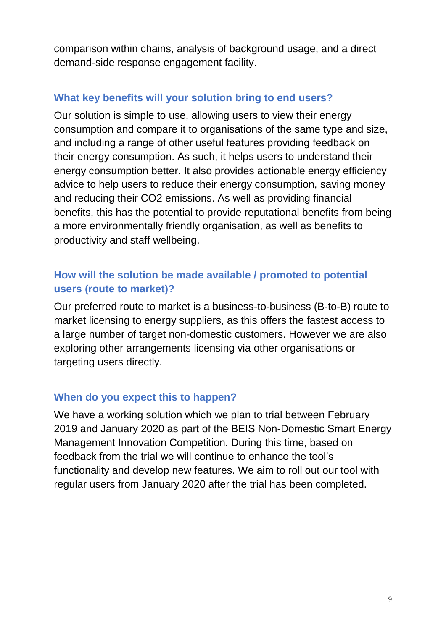comparison within chains, analysis of background usage, and a direct demand-side response engagement facility.

### **What key benefits will your solution bring to end users?**

Our solution is simple to use, allowing users to view their energy consumption and compare it to organisations of the same type and size, and including a range of other useful features providing feedback on their energy consumption. As such, it helps users to understand their energy consumption better. It also provides actionable energy efficiency advice to help users to reduce their energy consumption, saving money and reducing their CO2 emissions. As well as providing financial benefits, this has the potential to provide reputational benefits from being a more environmentally friendly organisation, as well as benefits to productivity and staff wellbeing.

### **How will the solution be made available / promoted to potential users (route to market)?**

Our preferred route to market is a business-to-business (B-to-B) route to market licensing to energy suppliers, as this offers the fastest access to a large number of target non-domestic customers. However we are also exploring other arrangements licensing via other organisations or targeting users directly.

#### **When do you expect this to happen?**

We have a working solution which we plan to trial between February 2019 and January 2020 as part of the BEIS Non-Domestic Smart Energy Management Innovation Competition. During this time, based on feedback from the trial we will continue to enhance the tool's functionality and develop new features. We aim to roll out our tool with regular users from January 2020 after the trial has been completed.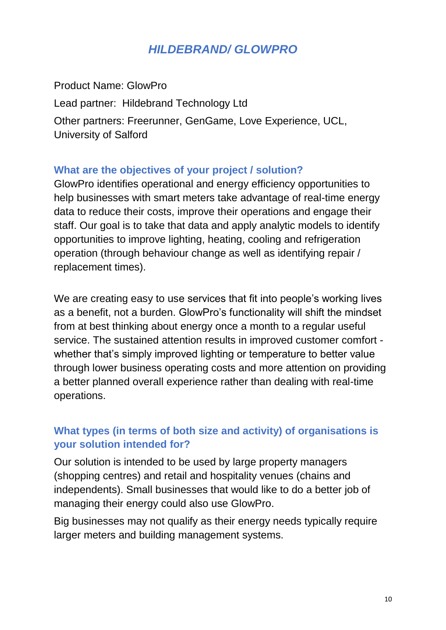# *HILDEBRAND/ GLOWPRO*

Product Name: GlowPro Lead partner: Hildebrand Technology Ltd Other partners: Freerunner, GenGame, Love Experience, UCL, University of Salford

#### **What are the objectives of your project / solution?**

GlowPro identifies operational and energy efficiency opportunities to help businesses with smart meters take advantage of real-time energy data to reduce their costs, improve their operations and engage their staff. Our goal is to take that data and apply analytic models to identify opportunities to improve lighting, heating, cooling and refrigeration operation (through behaviour change as well as identifying repair / replacement times).

We are creating easy to use services that fit into people's working lives as a benefit, not a burden. GlowPro's functionality will shift the mindset from at best thinking about energy once a month to a regular useful service. The sustained attention results in improved customer comfort whether that's simply improved lighting or temperature to better value through lower business operating costs and more attention on providing a better planned overall experience rather than dealing with real-time operations.

### **What types (in terms of both size and activity) of organisations is your solution intended for?**

Our solution is intended to be used by large property managers (shopping centres) and retail and hospitality venues (chains and independents). Small businesses that would like to do a better job of managing their energy could also use GlowPro.

Big businesses may not qualify as their energy needs typically require larger meters and building management systems.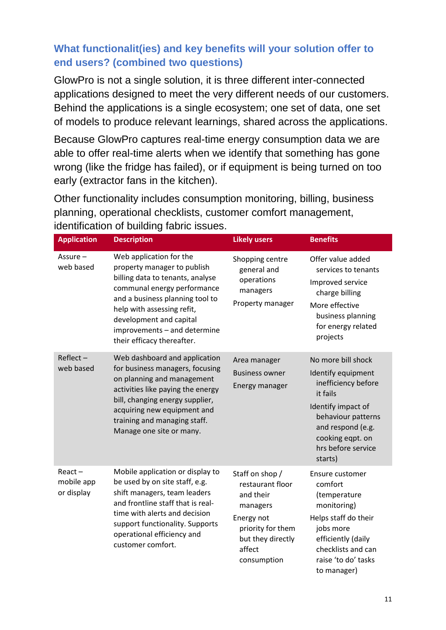# **What functionalit(ies) and key benefits will your solution offer to end users? (combined two questions)**

GlowPro is not a single solution, it is three different inter-connected applications designed to meet the very different needs of our customers. Behind the applications is a single ecosystem; one set of data, one set of models to produce relevant learnings, shared across the applications.

Because GlowPro captures real-time energy consumption data we are able to offer real-time alerts when we identify that something has gone wrong (like the fridge has failed), or if equipment is being turned on too early (extractor fans in the kitchen).

Other functionality includes consumption monitoring, billing, business planning, operational checklists, customer comfort management, identification of building fabric issues.

| <b>Application</b>                    | <b>Description</b>                                                                                                                                                                                                                                                                  | <b>Likely users</b>                                                                                                                           | <b>Benefits</b>                                                                                                                                                                                   |
|---------------------------------------|-------------------------------------------------------------------------------------------------------------------------------------------------------------------------------------------------------------------------------------------------------------------------------------|-----------------------------------------------------------------------------------------------------------------------------------------------|---------------------------------------------------------------------------------------------------------------------------------------------------------------------------------------------------|
| Assure-<br>web based                  | Web application for the<br>property manager to publish<br>billing data to tenants, analyse<br>communal energy performance<br>and a business planning tool to<br>help with assessing refit,<br>development and capital<br>improvements - and determine<br>their efficacy thereafter. | Shopping centre<br>general and<br>operations<br>managers<br>Property manager                                                                  | Offer value added<br>services to tenants<br>Improved service<br>charge billing<br>More effective<br>business planning<br>for energy related<br>projects                                           |
| $Reflect -$<br>web based              | Web dashboard and application<br>for business managers, focusing<br>on planning and management<br>activities like paying the energy<br>bill, changing energy supplier,<br>acquiring new equipment and<br>training and managing staff.<br>Manage one site or many.                   | Area manager<br><b>Business owner</b><br>Energy manager                                                                                       | No more bill shock<br>Identify equipment<br>inefficiency before<br>it fails<br>Identify impact of<br>behaviour patterns<br>and respond (e.g.<br>cooking eqpt. on<br>hrs before service<br>starts) |
| $React -$<br>mobile app<br>or display | Mobile application or display to<br>be used by on site staff, e.g.<br>shift managers, team leaders<br>and frontline staff that is real-<br>time with alerts and decision<br>support functionality. Supports<br>operational efficiency and<br>customer comfort.                      | Staff on shop /<br>restaurant floor<br>and their<br>managers<br>Energy not<br>priority for them<br>but they directly<br>affect<br>consumption | Ensure customer<br>comfort<br>(temperature<br>monitoring)<br>Helps staff do their<br>jobs more<br>efficiently (daily<br>checklists and can<br>raise 'to do' tasks<br>to manager)                  |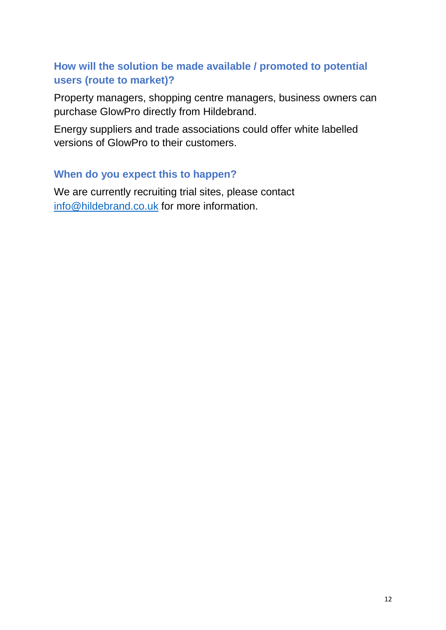#### **How will the solution be made available / promoted to potential users (route to market)?**

Property managers, shopping centre managers, business owners can purchase GlowPro directly from Hildebrand.

Energy suppliers and trade associations could offer white labelled versions of GlowPro to their customers.

#### **When do you expect this to happen?**

We are currently recruiting trial sites, please contact [info@hildebrand.co.uk](mailto:info@hildebrand.co.uk) for more information.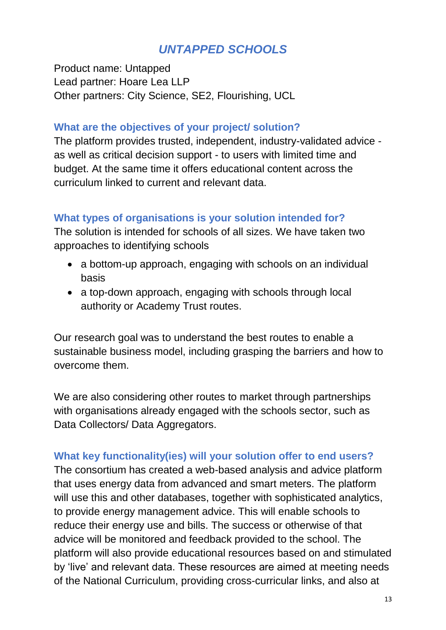# *UNTAPPED SCHOOLS*

Product name: Untapped Lead partner: Hoare Lea LLP Other partners: City Science, SE2, Flourishing, UCL

#### **What are the objectives of your project/ solution?**

The platform provides trusted, independent, industry-validated advice as well as critical decision support - to users with limited time and budget. At the same time it offers educational content across the curriculum linked to current and relevant data.

#### **What types of organisations is your solution intended for?**

The solution is intended for schools of all sizes. We have taken two approaches to identifying schools

- a bottom-up approach, engaging with schools on an individual basis
- a top-down approach, engaging with schools through local authority or Academy Trust routes.

Our research goal was to understand the best routes to enable a sustainable business model, including grasping the barriers and how to overcome them.

We are also considering other routes to market through partnerships with organisations already engaged with the schools sector, such as Data Collectors/ Data Aggregators.

#### **What key functionality(ies) will your solution offer to end users?**

The consortium has created a web-based analysis and advice platform that uses energy data from advanced and smart meters. The platform will use this and other databases, together with sophisticated analytics, to provide energy management advice. This will enable schools to reduce their energy use and bills. The success or otherwise of that advice will be monitored and feedback provided to the school. The platform will also provide educational resources based on and stimulated by 'live' and relevant data. These resources are aimed at meeting needs of the National Curriculum, providing cross-curricular links, and also at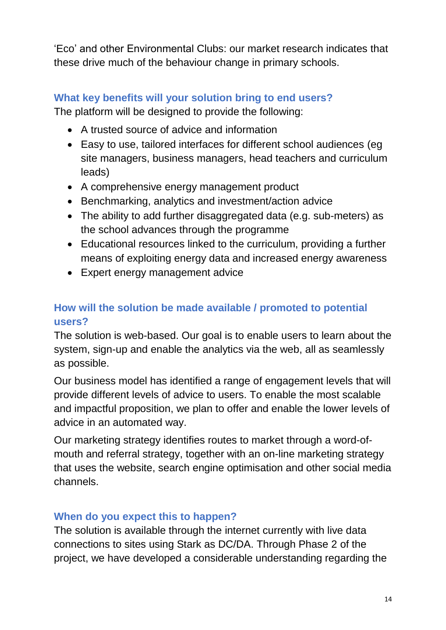'Eco' and other Environmental Clubs: our market research indicates that these drive much of the behaviour change in primary schools.

# **What key benefits will your solution bring to end users?**

The platform will be designed to provide the following:

- A trusted source of advice and information
- Easy to use, tailored interfaces for different school audiences (eg site managers, business managers, head teachers and curriculum leads)
- A comprehensive energy management product
- Benchmarking, analytics and investment/action advice
- The ability to add further disaggregated data (e.g. sub-meters) as the school advances through the programme
- Educational resources linked to the curriculum, providing a further means of exploiting energy data and increased energy awareness
- Expert energy management advice

# **How will the solution be made available / promoted to potential users?**

The solution is web-based. Our goal is to enable users to learn about the system, sign-up and enable the analytics via the web, all as seamlessly as possible.

Our business model has identified a range of engagement levels that will provide different levels of advice to users. To enable the most scalable and impactful proposition, we plan to offer and enable the lower levels of advice in an automated way.

Our marketing strategy identifies routes to market through a word-ofmouth and referral strategy, together with an on-line marketing strategy that uses the website, search engine optimisation and other social media channels.

## **When do you expect this to happen?**

The solution is available through the internet currently with live data connections to sites using Stark as DC/DA. Through Phase 2 of the project, we have developed a considerable understanding regarding the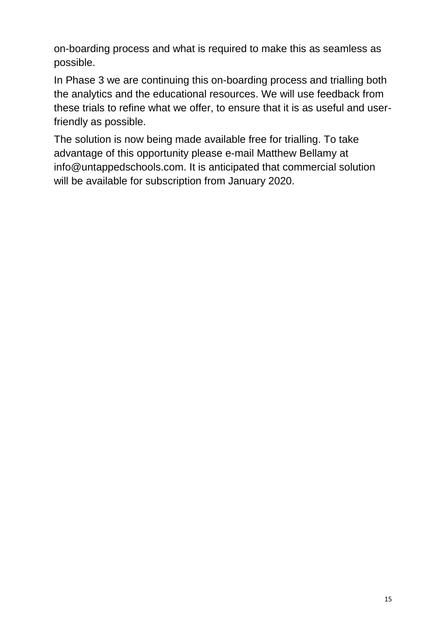on-boarding process and what is required to make this as seamless as possible.

In Phase 3 we are continuing this on-boarding process and trialling both the analytics and the educational resources. We will use feedback from these trials to refine what we offer, to ensure that it is as useful and userfriendly as possible.

The solution is now being made available free for trialling. To take advantage of this opportunity please e-mail Matthew Bellamy at [info@untappedschools.com.](mailto:info@untappedschools.com) It is anticipated that commercial solution will be available for subscription from January 2020.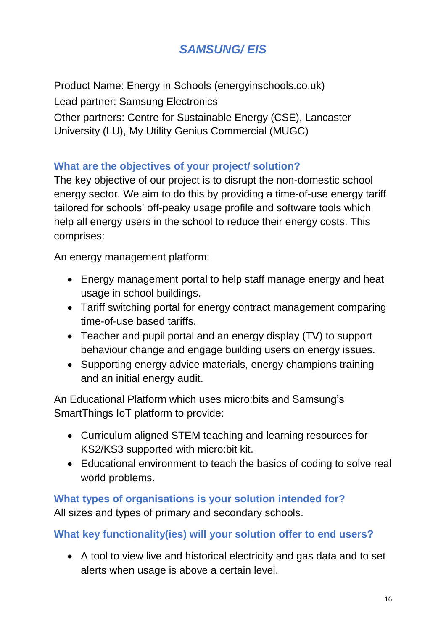# *SAMSUNG/ EIS*

Product Name: Energy in Schools (energyinschools.co.uk) Lead partner: Samsung Electronics Other partners: Centre for Sustainable Energy (CSE), Lancaster University (LU), My Utility Genius Commercial (MUGC)

## **What are the objectives of your project/ solution?**

The key objective of our project is to disrupt the non-domestic school energy sector. We aim to do this by providing a time-of-use energy tariff tailored for schools' off-peaky usage profile and software tools which help all energy users in the school to reduce their energy costs. This comprises:

An energy management platform:

- Energy management portal to help staff manage energy and heat usage in school buildings.
- Tariff switching portal for energy contract management comparing time-of-use based tariffs.
- Teacher and pupil portal and an energy display (TV) to support behaviour change and engage building users on energy issues.
- Supporting energy advice materials, energy champions training and an initial energy audit.

An Educational Platform which uses micro:bits and Samsung's SmartThings IoT platform to provide:

- Curriculum aligned STEM teaching and learning resources for KS2/KS3 supported with micro:bit kit.
- Educational environment to teach the basics of coding to solve real world problems.

#### **What types of organisations is your solution intended for?**

All sizes and types of primary and secondary schools.

## **What key functionality(ies) will your solution offer to end users?**

• A tool to view live and historical electricity and gas data and to set alerts when usage is above a certain level.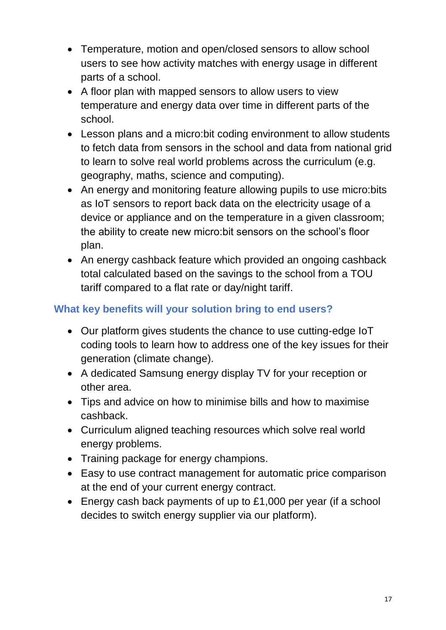- Temperature, motion and open/closed sensors to allow school users to see how activity matches with energy usage in different parts of a school.
- A floor plan with mapped sensors to allow users to view temperature and energy data over time in different parts of the school.
- Lesson plans and a micro:bit coding environment to allow students to fetch data from sensors in the school and data from national grid to learn to solve real world problems across the curriculum (e.g. geography, maths, science and computing).
- An energy and monitoring feature allowing pupils to use micro:bits as IoT sensors to report back data on the electricity usage of a device or appliance and on the temperature in a given classroom; the ability to create new micro:bit sensors on the school's floor plan.
- An energy cashback feature which provided an ongoing cashback total calculated based on the savings to the school from a TOU tariff compared to a flat rate or day/night tariff.

## **What key benefits will your solution bring to end users?**

- Our platform gives students the chance to use cutting-edge IoT coding tools to learn how to address one of the key issues for their generation (climate change).
- A dedicated Samsung energy display TV for your reception or other area.
- Tips and advice on how to minimise bills and how to maximise cashback.
- Curriculum aligned teaching resources which solve real world energy problems.
- Training package for energy champions.
- Easy to use contract management for automatic price comparison at the end of your current energy contract.
- Energy cash back payments of up to £1,000 per year (if a school decides to switch energy supplier via our platform).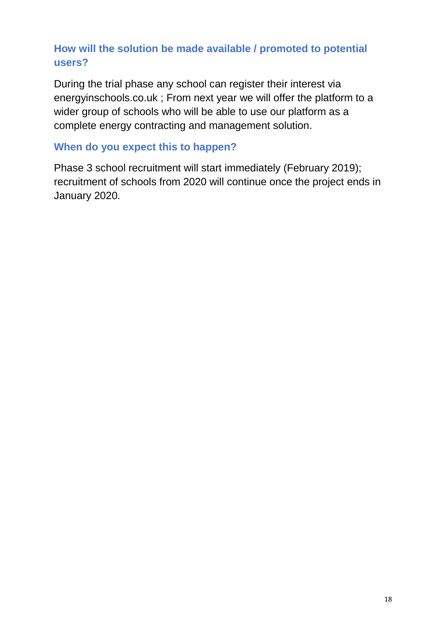## **How will the solution be made available / promoted to potential users?**

During the trial phase any school can register their interest via energyinschools.co.uk ; From next year we will offer the platform to a wider group of schools who will be able to use our platform as a complete energy contracting and management solution.

#### **When do you expect this to happen?**

Phase 3 school recruitment will start immediately (February 2019); recruitment of schools from 2020 will continue once the project ends in January 2020.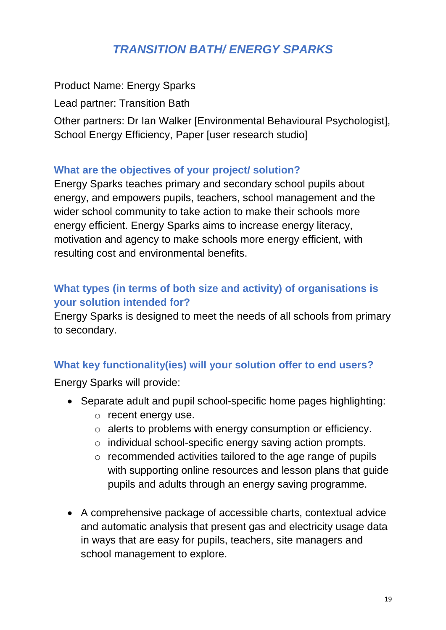# *TRANSITION BATH/ ENERGY SPARKS*

Product Name: Energy Sparks

Lead partner: Transition Bath

Other partners: Dr Ian Walker [Environmental Behavioural Psychologist], School Energy Efficiency, Paper [user research studio]

#### **What are the objectives of your project/ solution?**

Energy Sparks teaches primary and secondary school pupils about energy, and empowers pupils, teachers, school management and the wider school community to take action to make their schools more energy efficient. Energy Sparks aims to increase energy literacy, motivation and agency to make schools more energy efficient, with resulting cost and environmental benefits.

## **What types (in terms of both size and activity) of organisations is your solution intended for?**

Energy Sparks is designed to meet the needs of all schools from primary to secondary.

## **What key functionality(ies) will your solution offer to end users?**

Energy Sparks will provide:

- Separate adult and pupil school-specific home pages highlighting:
	- o recent energy use.
	- o alerts to problems with energy consumption or efficiency.
	- o individual school-specific energy saving action prompts.
	- o recommended activities tailored to the age range of pupils with supporting online resources and lesson plans that guide pupils and adults through an energy saving programme.
- A comprehensive package of accessible charts, contextual advice and automatic analysis that present gas and electricity usage data in ways that are easy for pupils, teachers, site managers and school management to explore.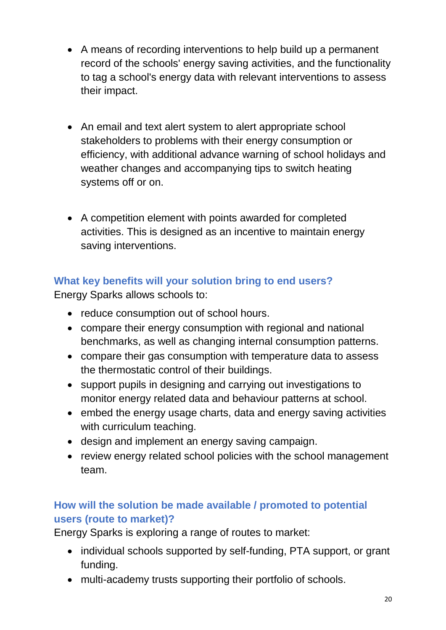- A means of recording interventions to help build up a permanent record of the schools' energy saving activities, and the functionality to tag a school's energy data with relevant interventions to assess their impact.
- An email and text alert system to alert appropriate school stakeholders to problems with their energy consumption or efficiency, with additional advance warning of school holidays and weather changes and accompanying tips to switch heating systems off or on.
- A competition element with points awarded for completed activities. This is designed as an incentive to maintain energy saving interventions.

# **What key benefits will your solution bring to end users?**

Energy Sparks allows schools to:

- reduce consumption out of school hours.
- compare their energy consumption with regional and national benchmarks, as well as changing internal consumption patterns.
- compare their gas consumption with temperature data to assess the thermostatic control of their buildings.
- support pupils in designing and carrying out investigations to monitor energy related data and behaviour patterns at school.
- embed the energy usage charts, data and energy saving activities with curriculum teaching.
- design and implement an energy saving campaign.
- review energy related school policies with the school management team.

## **How will the solution be made available / promoted to potential users (route to market)?**

Energy Sparks is exploring a range of routes to market:

- individual schools supported by self-funding, PTA support, or grant funding.
- multi-academy trusts supporting their portfolio of schools.